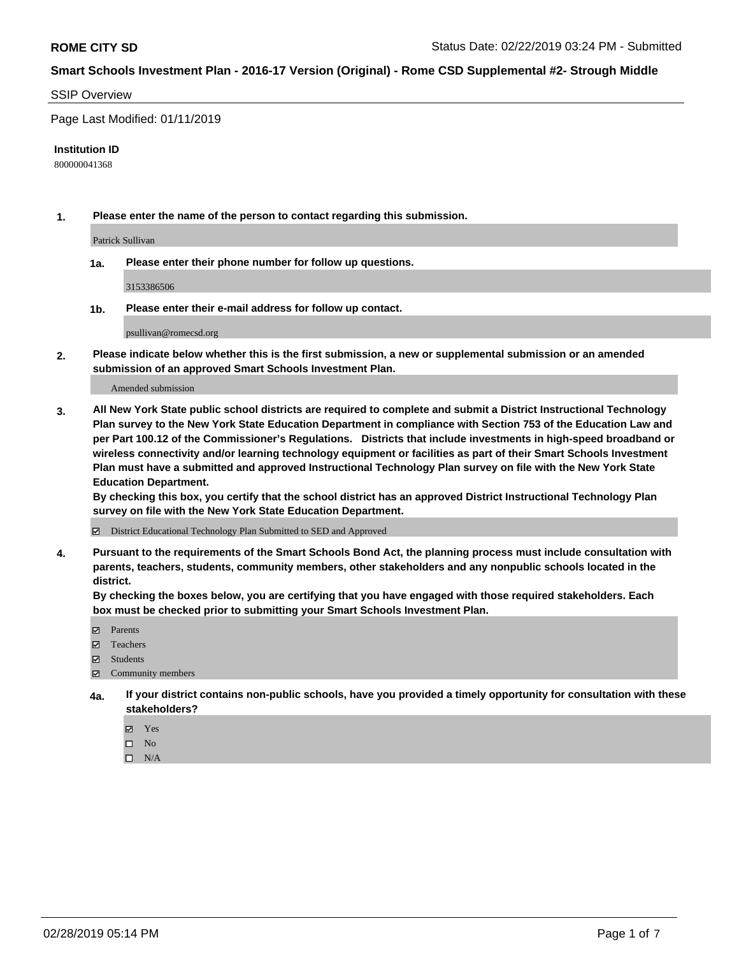#### SSIP Overview

Page Last Modified: 01/11/2019

#### **Institution ID**

800000041368

**1. Please enter the name of the person to contact regarding this submission.**

Patrick Sullivan

**1a. Please enter their phone number for follow up questions.**

3153386506

**1b. Please enter their e-mail address for follow up contact.**

psullivan@romecsd.org

**2. Please indicate below whether this is the first submission, a new or supplemental submission or an amended submission of an approved Smart Schools Investment Plan.**

Amended submission

**3. All New York State public school districts are required to complete and submit a District Instructional Technology Plan survey to the New York State Education Department in compliance with Section 753 of the Education Law and per Part 100.12 of the Commissioner's Regulations. Districts that include investments in high-speed broadband or wireless connectivity and/or learning technology equipment or facilities as part of their Smart Schools Investment Plan must have a submitted and approved Instructional Technology Plan survey on file with the New York State Education Department.** 

**By checking this box, you certify that the school district has an approved District Instructional Technology Plan survey on file with the New York State Education Department.**

District Educational Technology Plan Submitted to SED and Approved

**4. Pursuant to the requirements of the Smart Schools Bond Act, the planning process must include consultation with parents, teachers, students, community members, other stakeholders and any nonpublic schools located in the district.** 

**By checking the boxes below, you are certifying that you have engaged with those required stakeholders. Each box must be checked prior to submitting your Smart Schools Investment Plan.**

- **□** Parents
- Teachers
- Students
- $\boxtimes$  Community members
- **4a. If your district contains non-public schools, have you provided a timely opportunity for consultation with these stakeholders?**
	- Yes
	- $\qquad \qquad$  No
	- $\square$  N/A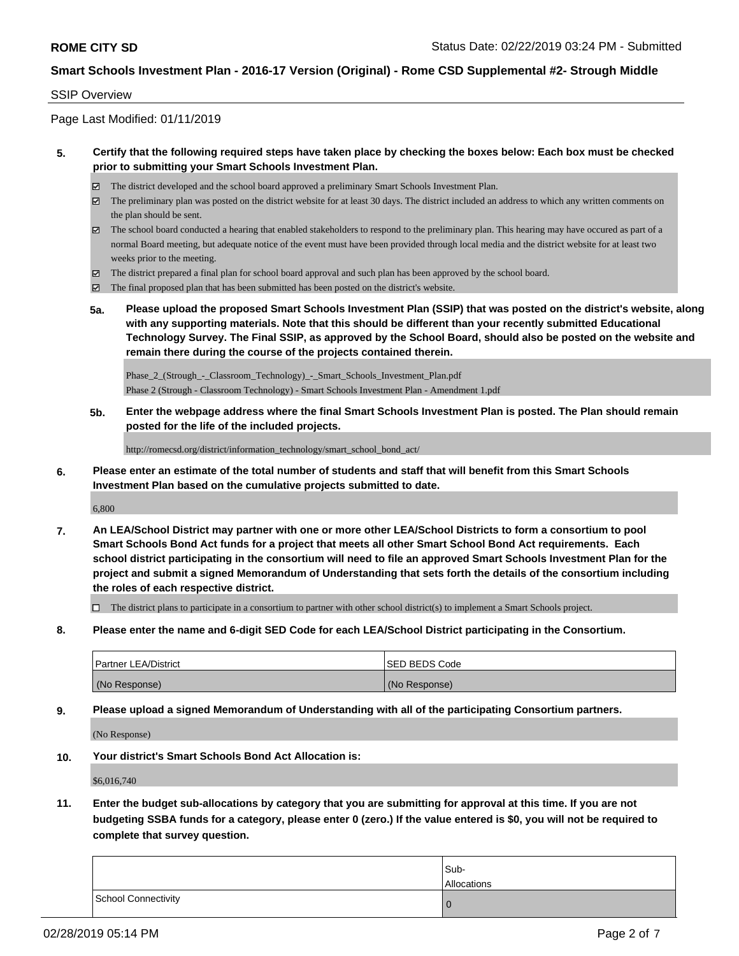#### SSIP Overview

Page Last Modified: 01/11/2019

### **5. Certify that the following required steps have taken place by checking the boxes below: Each box must be checked prior to submitting your Smart Schools Investment Plan.**

- The district developed and the school board approved a preliminary Smart Schools Investment Plan.
- $\boxtimes$  The preliminary plan was posted on the district website for at least 30 days. The district included an address to which any written comments on the plan should be sent.
- $\boxtimes$  The school board conducted a hearing that enabled stakeholders to respond to the preliminary plan. This hearing may have occured as part of a normal Board meeting, but adequate notice of the event must have been provided through local media and the district website for at least two weeks prior to the meeting.
- The district prepared a final plan for school board approval and such plan has been approved by the school board.
- $\boxtimes$  The final proposed plan that has been submitted has been posted on the district's website.
- **5a. Please upload the proposed Smart Schools Investment Plan (SSIP) that was posted on the district's website, along with any supporting materials. Note that this should be different than your recently submitted Educational Technology Survey. The Final SSIP, as approved by the School Board, should also be posted on the website and remain there during the course of the projects contained therein.**

Phase\_2\_(Strough\_-\_Classroom\_Technology)\_-\_Smart\_Schools\_Investment\_Plan.pdf Phase 2 (Strough - Classroom Technology) - Smart Schools Investment Plan - Amendment 1.pdf

**5b. Enter the webpage address where the final Smart Schools Investment Plan is posted. The Plan should remain posted for the life of the included projects.**

http://romecsd.org/district/information\_technology/smart\_school\_bond\_act/

**6. Please enter an estimate of the total number of students and staff that will benefit from this Smart Schools Investment Plan based on the cumulative projects submitted to date.**

6,800

**7. An LEA/School District may partner with one or more other LEA/School Districts to form a consortium to pool Smart Schools Bond Act funds for a project that meets all other Smart School Bond Act requirements. Each school district participating in the consortium will need to file an approved Smart Schools Investment Plan for the project and submit a signed Memorandum of Understanding that sets forth the details of the consortium including the roles of each respective district.**

 $\Box$  The district plans to participate in a consortium to partner with other school district(s) to implement a Smart Schools project.

**8. Please enter the name and 6-digit SED Code for each LEA/School District participating in the Consortium.**

| <b>Partner LEA/District</b> | <b>ISED BEDS Code</b> |
|-----------------------------|-----------------------|
| (No Response)               | (No Response)         |

**9. Please upload a signed Memorandum of Understanding with all of the participating Consortium partners.**

(No Response)

**10. Your district's Smart Schools Bond Act Allocation is:**

\$6,016,740

**11. Enter the budget sub-allocations by category that you are submitting for approval at this time. If you are not budgeting SSBA funds for a category, please enter 0 (zero.) If the value entered is \$0, you will not be required to complete that survey question.**

|                     | Sub-<br>Allocations |
|---------------------|---------------------|
| School Connectivity | O                   |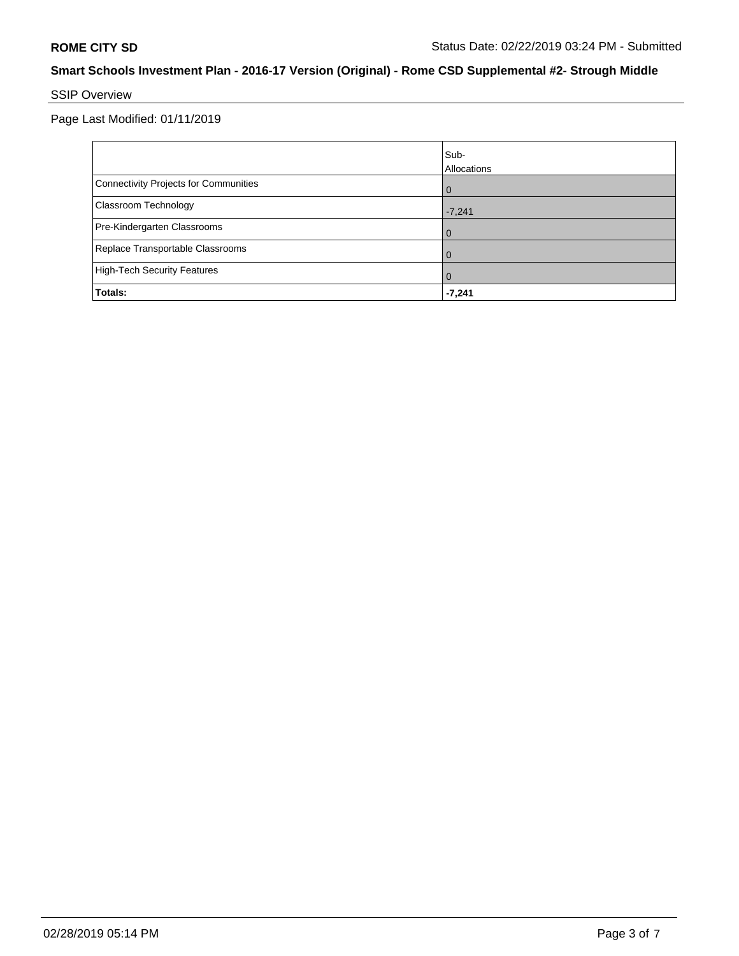# SSIP Overview

Page Last Modified: 01/11/2019

|                                       | Sub-<br>Allocations |
|---------------------------------------|---------------------|
| Connectivity Projects for Communities | $\overline{0}$      |
| <b>Classroom Technology</b>           | $-7,241$            |
| Pre-Kindergarten Classrooms           | $\overline{0}$      |
| Replace Transportable Classrooms      | $\Omega$            |
| High-Tech Security Features           | $\overline{0}$      |
| Totals:                               | $-7,241$            |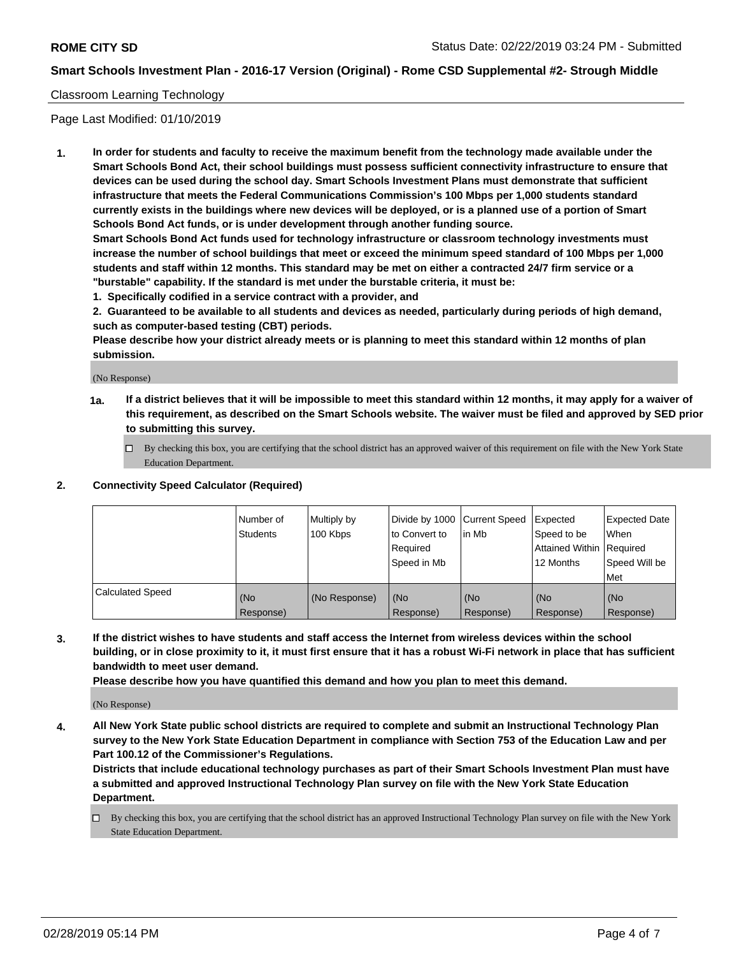## Classroom Learning Technology

Page Last Modified: 01/10/2019

**1. In order for students and faculty to receive the maximum benefit from the technology made available under the Smart Schools Bond Act, their school buildings must possess sufficient connectivity infrastructure to ensure that devices can be used during the school day. Smart Schools Investment Plans must demonstrate that sufficient infrastructure that meets the Federal Communications Commission's 100 Mbps per 1,000 students standard currently exists in the buildings where new devices will be deployed, or is a planned use of a portion of Smart Schools Bond Act funds, or is under development through another funding source.**

**Smart Schools Bond Act funds used for technology infrastructure or classroom technology investments must increase the number of school buildings that meet or exceed the minimum speed standard of 100 Mbps per 1,000 students and staff within 12 months. This standard may be met on either a contracted 24/7 firm service or a "burstable" capability. If the standard is met under the burstable criteria, it must be:**

**1. Specifically codified in a service contract with a provider, and**

**2. Guaranteed to be available to all students and devices as needed, particularly during periods of high demand, such as computer-based testing (CBT) periods.**

**Please describe how your district already meets or is planning to meet this standard within 12 months of plan submission.**

(No Response)

- **1a. If a district believes that it will be impossible to meet this standard within 12 months, it may apply for a waiver of this requirement, as described on the Smart Schools website. The waiver must be filed and approved by SED prior to submitting this survey.**
	- By checking this box, you are certifying that the school district has an approved waiver of this requirement on file with the New York State Education Department.

#### **2. Connectivity Speed Calculator (Required)**

|                         | l Number of<br>Students | Multiply by<br>100 Kbps | Divide by 1000   Current Speed<br>to Convert to<br>l Reauired<br>Speed in Mb | l in Mb          | <b>Expected</b><br>Speed to be<br><b>Attained Within Required</b><br>12 Months | Expected Date<br>When<br>Speed Will be<br>Met |
|-------------------------|-------------------------|-------------------------|------------------------------------------------------------------------------|------------------|--------------------------------------------------------------------------------|-----------------------------------------------|
| <b>Calculated Speed</b> | (No<br>Response)        | (No Response)           | (No<br>Response)                                                             | (No<br>Response) | l (No<br>Response)                                                             | (No<br>Response)                              |

**3. If the district wishes to have students and staff access the Internet from wireless devices within the school building, or in close proximity to it, it must first ensure that it has a robust Wi-Fi network in place that has sufficient bandwidth to meet user demand.**

**Please describe how you have quantified this demand and how you plan to meet this demand.**

(No Response)

**4. All New York State public school districts are required to complete and submit an Instructional Technology Plan survey to the New York State Education Department in compliance with Section 753 of the Education Law and per Part 100.12 of the Commissioner's Regulations.**

**Districts that include educational technology purchases as part of their Smart Schools Investment Plan must have a submitted and approved Instructional Technology Plan survey on file with the New York State Education Department.**

By checking this box, you are certifying that the school district has an approved Instructional Technology Plan survey on file with the New York State Education Department.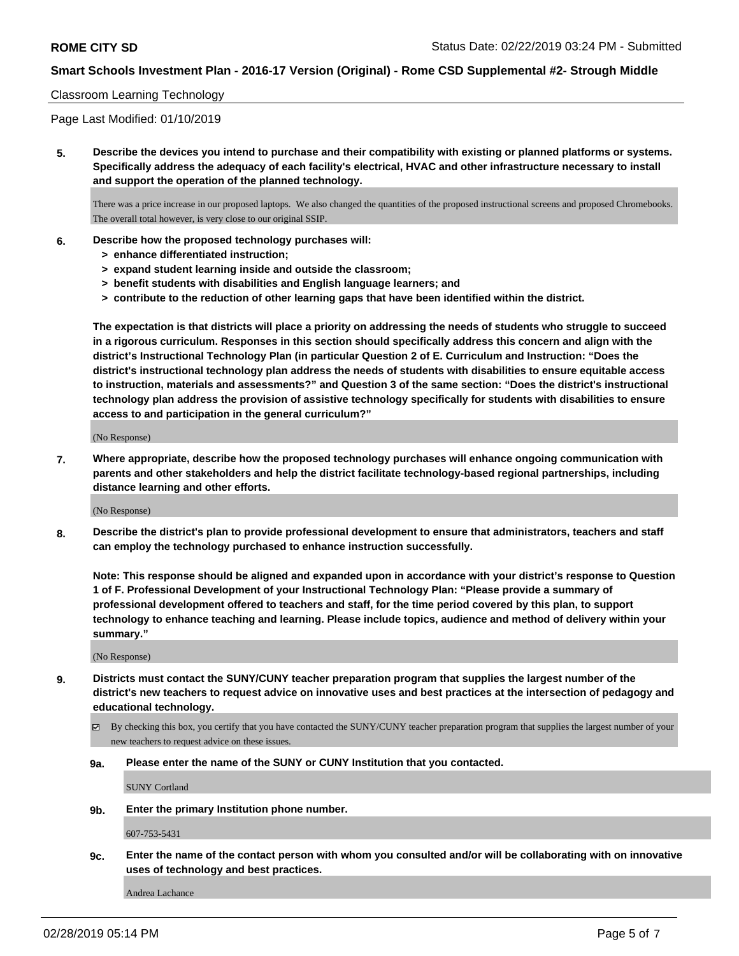#### Classroom Learning Technology

Page Last Modified: 01/10/2019

**5. Describe the devices you intend to purchase and their compatibility with existing or planned platforms or systems. Specifically address the adequacy of each facility's electrical, HVAC and other infrastructure necessary to install and support the operation of the planned technology.**

There was a price increase in our proposed laptops. We also changed the quantities of the proposed instructional screens and proposed Chromebooks. The overall total however, is very close to our original SSIP.

- **6. Describe how the proposed technology purchases will:**
	- **> enhance differentiated instruction;**
	- **> expand student learning inside and outside the classroom;**
	- **> benefit students with disabilities and English language learners; and**
	- **> contribute to the reduction of other learning gaps that have been identified within the district.**

**The expectation is that districts will place a priority on addressing the needs of students who struggle to succeed in a rigorous curriculum. Responses in this section should specifically address this concern and align with the district's Instructional Technology Plan (in particular Question 2 of E. Curriculum and Instruction: "Does the district's instructional technology plan address the needs of students with disabilities to ensure equitable access to instruction, materials and assessments?" and Question 3 of the same section: "Does the district's instructional technology plan address the provision of assistive technology specifically for students with disabilities to ensure access to and participation in the general curriculum?"**

(No Response)

**7. Where appropriate, describe how the proposed technology purchases will enhance ongoing communication with parents and other stakeholders and help the district facilitate technology-based regional partnerships, including distance learning and other efforts.**

(No Response)

**8. Describe the district's plan to provide professional development to ensure that administrators, teachers and staff can employ the technology purchased to enhance instruction successfully.**

**Note: This response should be aligned and expanded upon in accordance with your district's response to Question 1 of F. Professional Development of your Instructional Technology Plan: "Please provide a summary of professional development offered to teachers and staff, for the time period covered by this plan, to support technology to enhance teaching and learning. Please include topics, audience and method of delivery within your summary."**

(No Response)

- **9. Districts must contact the SUNY/CUNY teacher preparation program that supplies the largest number of the district's new teachers to request advice on innovative uses and best practices at the intersection of pedagogy and educational technology.**
	- By checking this box, you certify that you have contacted the SUNY/CUNY teacher preparation program that supplies the largest number of your new teachers to request advice on these issues.
	- **9a. Please enter the name of the SUNY or CUNY Institution that you contacted.**

SUNY Cortland

**9b. Enter the primary Institution phone number.**

607-753-5431

**9c. Enter the name of the contact person with whom you consulted and/or will be collaborating with on innovative uses of technology and best practices.**

Andrea Lachance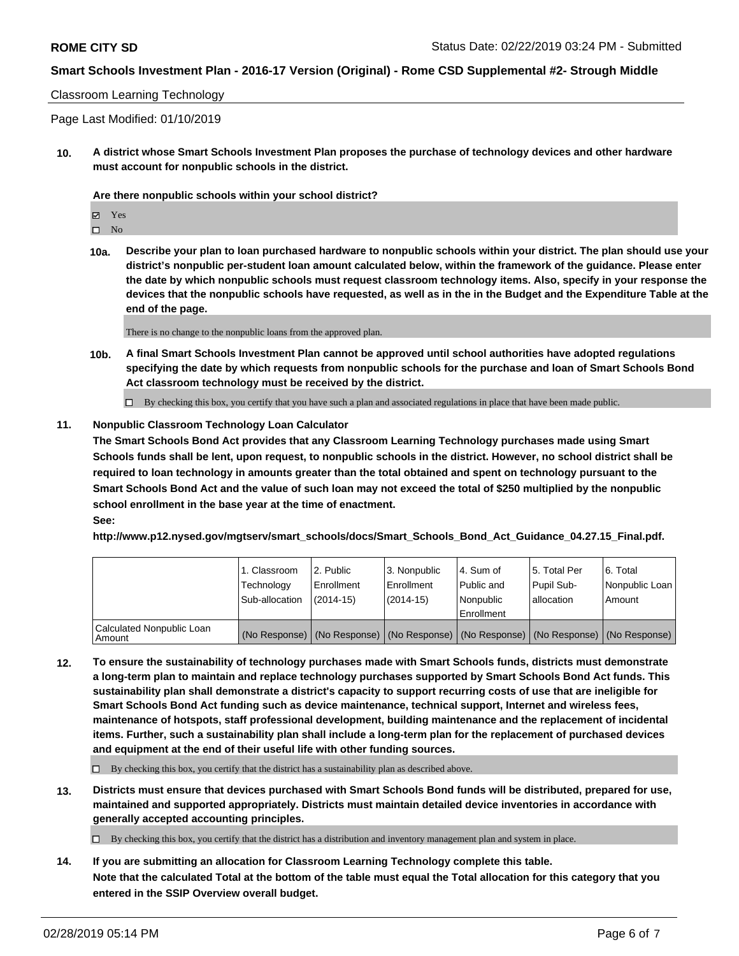#### Classroom Learning Technology

Page Last Modified: 01/10/2019

**10. A district whose Smart Schools Investment Plan proposes the purchase of technology devices and other hardware must account for nonpublic schools in the district.**

**Are there nonpublic schools within your school district?**

Yes

 $\square$  No

**10a. Describe your plan to loan purchased hardware to nonpublic schools within your district. The plan should use your district's nonpublic per-student loan amount calculated below, within the framework of the guidance. Please enter the date by which nonpublic schools must request classroom technology items. Also, specify in your response the devices that the nonpublic schools have requested, as well as in the in the Budget and the Expenditure Table at the end of the page.**

There is no change to the nonpublic loans from the approved plan.

**10b. A final Smart Schools Investment Plan cannot be approved until school authorities have adopted regulations specifying the date by which requests from nonpublic schools for the purchase and loan of Smart Schools Bond Act classroom technology must be received by the district.**

 $\Box$  By checking this box, you certify that you have such a plan and associated regulations in place that have been made public.

#### **11. Nonpublic Classroom Technology Loan Calculator**

**The Smart Schools Bond Act provides that any Classroom Learning Technology purchases made using Smart Schools funds shall be lent, upon request, to nonpublic schools in the district. However, no school district shall be required to loan technology in amounts greater than the total obtained and spent on technology pursuant to the Smart Schools Bond Act and the value of such loan may not exceed the total of \$250 multiplied by the nonpublic school enrollment in the base year at the time of enactment. See:**

**http://www.p12.nysed.gov/mgtserv/smart\_schools/docs/Smart\_Schools\_Bond\_Act\_Guidance\_04.27.15\_Final.pdf.**

|                                       | 1. Classroom<br>Technology<br>Sub-allocation | l 2. Public<br>l Enrollment<br>(2014-15) | l 3. Nonpublic<br>Enrollment<br>(2014-15) | l 4. Sum of<br>Public and<br>l Nonpublic<br>Enrollment                                        | l 5. Total Per<br>Pupil Sub-<br>lallocation | 6. Total<br>Nonpublic Loan<br>Amount |
|---------------------------------------|----------------------------------------------|------------------------------------------|-------------------------------------------|-----------------------------------------------------------------------------------------------|---------------------------------------------|--------------------------------------|
| Calculated Nonpublic Loan<br>l Amount |                                              |                                          |                                           | (No Response)   (No Response)   (No Response)   (No Response)   (No Response)   (No Response) |                                             |                                      |

**12. To ensure the sustainability of technology purchases made with Smart Schools funds, districts must demonstrate a long-term plan to maintain and replace technology purchases supported by Smart Schools Bond Act funds. This sustainability plan shall demonstrate a district's capacity to support recurring costs of use that are ineligible for Smart Schools Bond Act funding such as device maintenance, technical support, Internet and wireless fees, maintenance of hotspots, staff professional development, building maintenance and the replacement of incidental items. Further, such a sustainability plan shall include a long-term plan for the replacement of purchased devices and equipment at the end of their useful life with other funding sources.**

 $\Box$  By checking this box, you certify that the district has a sustainability plan as described above.

**13. Districts must ensure that devices purchased with Smart Schools Bond funds will be distributed, prepared for use, maintained and supported appropriately. Districts must maintain detailed device inventories in accordance with generally accepted accounting principles.**

 $\Box$  By checking this box, you certify that the district has a distribution and inventory management plan and system in place.

**14. If you are submitting an allocation for Classroom Learning Technology complete this table. Note that the calculated Total at the bottom of the table must equal the Total allocation for this category that you entered in the SSIP Overview overall budget.**